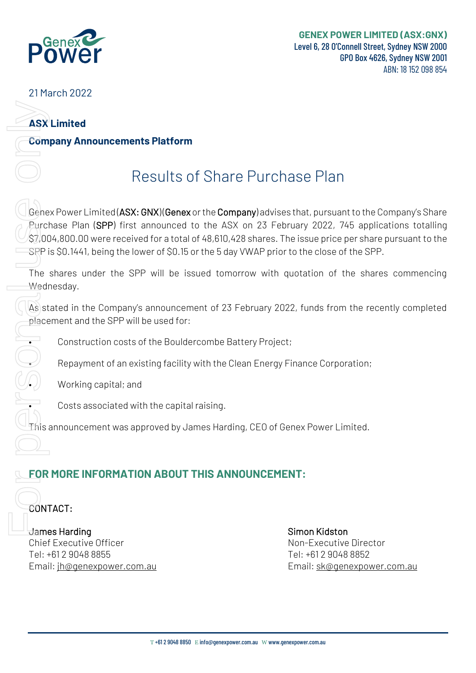

21 March 2022

## **ASX Limited**

### **Company Announcements Platform**

# Results of Share Purchase Plan

Genex Power Limited (ASX: GNX) (Genex or the Company) advises that, pursuant to the Company's Share Purchase Plan (SPP) first announced to the ASX on 23 February 2022, 745 applications totalling \$7,004,800.00 were received for a total of 48,610,428 shares. The issue price per share pursuant to the SPP is \$0.1441, being the lower of \$0.15 or the 5 day VWAP prior to the close of the SPP. ASX<br>
Com<br>
Gene<br>
Com<br>
Gene<br>
Sager The<br>
Wedr<br>
Sager The<br>
Wedr<br>
Dans<br>
Con<br>
Con<br>
Jame<br>
Ch<br>
Con<br>
Tel:<br>
EDR<br>
Con<br>
The<br>
Sager The<br>
Con<br>
Tel:<br>
The<br>
Tel:<br>
Tel:<br>
Tel:<br>
Tel:<br>
Tel:<br>
Tel:<br>
Tel:<br>
Tel:<br>
Tel:<br>
Tel:<br>
Tel:<br>
Tel:<br>
Tel:<br>
Tel:

The shares under the SPP will be issued tomorrow with quotation of the shares commencing Wednesdav.

As stated in the Company's announcement of 23 February 2022, funds from the recently completed placement and the SPP will be used for:

• Construction costs of the Bouldercombe Battery Project;

• Repayment of an existing facility with the Clean Energy Finance Corporation;

• Working capital; and

Costs associated with the capital raising.

This announcement was approved by James Harding, CEO of Genex Power Limited.

# **FOR MORE INFORMATION ABOUT THIS ANNOUNCEMENT:**

## CONTACT:

James Harding Simon Kidston Simon Kidston Chief Executive Officer Non-Executive Director Tel: +61 2 9048 8855 Tel: +61 2 9048 8852

Email: [jh@genexpower.com.au](mailto:jh@genexpower.com.au) Email[: sk@genexpower.com.au](mailto:sk@genexpower.com.au)